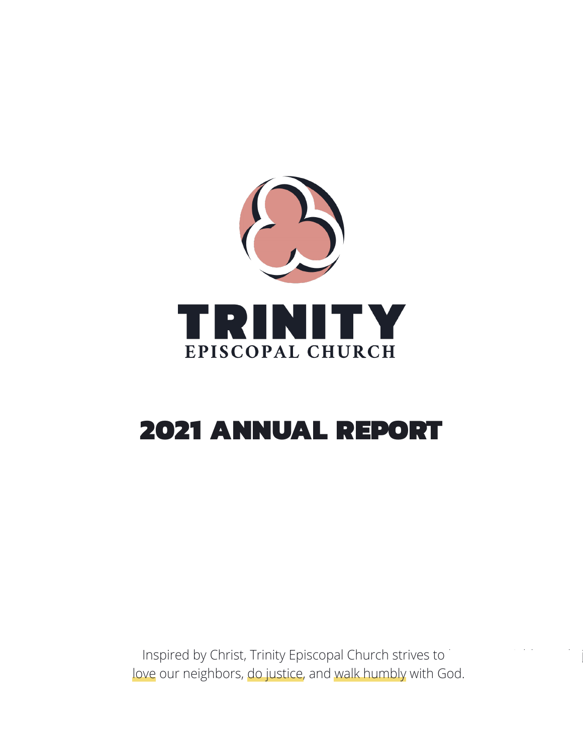

# 2021 ANNUAL REPORT

Inspired by Christ, Trinity Episcopal Church strives to love our neighbors, do justice, and walk humbly with God.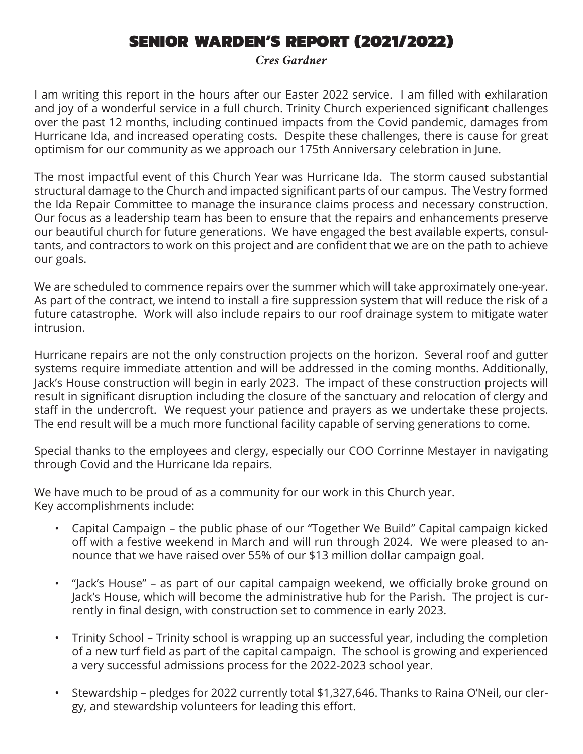# SENIOR WARDEN'S REPORT (2021/2022)

*Cres Gardner*

I am writing this report in the hours after our Easter 2022 service. I am filled with exhilaration and joy of a wonderful service in a full church. Trinity Church experienced significant challenges over the past 12 months, including continued impacts from the Covid pandemic, damages from Hurricane Ida, and increased operating costs. Despite these challenges, there is cause for great optimism for our community as we approach our 175th Anniversary celebration in June.

The most impactful event of this Church Year was Hurricane Ida. The storm caused substantial structural damage to the Church and impacted significant parts of our campus. The Vestry formed the Ida Repair Committee to manage the insurance claims process and necessary construction. Our focus as a leadership team has been to ensure that the repairs and enhancements preserve our beautiful church for future generations. We have engaged the best available experts, consultants, and contractors to work on this project and are confident that we are on the path to achieve our goals.

We are scheduled to commence repairs over the summer which will take approximately one-year. As part of the contract, we intend to install a fire suppression system that will reduce the risk of a future catastrophe. Work will also include repairs to our roof drainage system to mitigate water intrusion.

Hurricane repairs are not the only construction projects on the horizon. Several roof and gutter systems require immediate attention and will be addressed in the coming months. Additionally, Jack's House construction will begin in early 2023. The impact of these construction projects will result in significant disruption including the closure of the sanctuary and relocation of clergy and staff in the undercroft. We request your patience and prayers as we undertake these projects. The end result will be a much more functional facility capable of serving generations to come.

Special thanks to the employees and clergy, especially our COO Corrinne Mestayer in navigating through Covid and the Hurricane Ida repairs.

We have much to be proud of as a community for our work in this Church year. Key accomplishments include:

- Capital Campaign the public phase of our "Together We Build" Capital campaign kicked off with a festive weekend in March and will run through 2024. We were pleased to announce that we have raised over 55% of our \$13 million dollar campaign goal.
- "Jack's House" as part of our capital campaign weekend, we officially broke ground on Jack's House, which will become the administrative hub for the Parish. The project is currently in final design, with construction set to commence in early 2023.
- Trinity School Trinity school is wrapping up an successful year, including the completion of a new turf field as part of the capital campaign. The school is growing and experienced a very successful admissions process for the 2022-2023 school year.
- Stewardship pledges for 2022 currently total \$1,327,646. Thanks to Raina O'Neil, our clergy, and stewardship volunteers for leading this effort.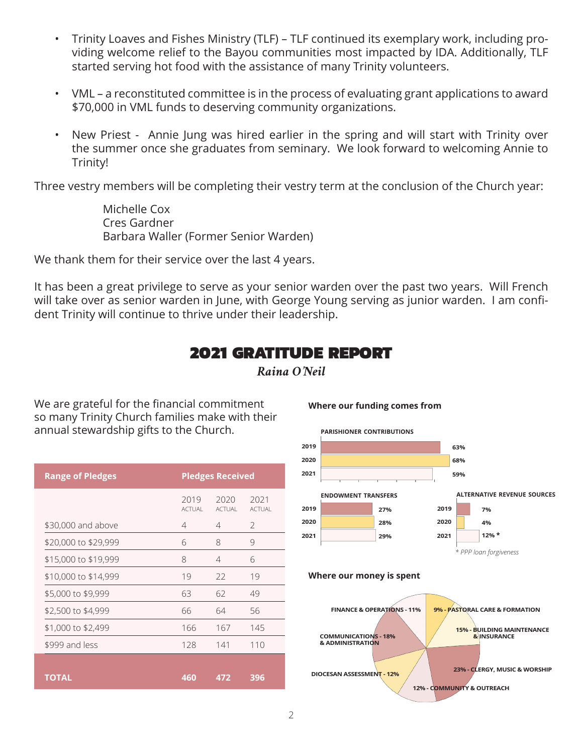- Trinity Loaves and Fishes Ministry (TLF) TLF continued its exemplary work, including providing welcome relief to the Bayou communities most impacted by IDA. Additionally, TLF started serving hot food with the assistance of many Trinity volunteers.
- VML a reconstituted committee is in the process of evaluating grant applications to award \$70,000 in VML funds to deserving community organizations.
- New Priest Annie Jung was hired earlier in the spring and will start with Trinity over the summer once she graduates from seminary. We look forward to welcoming Annie to Trinity!

Three vestry members will be completing their vestry term at the conclusion of the Church year:

Michelle Cox Cres Gardner Barbara Waller (Former Senior Warden)

We thank them for their service over the last 4 years.

It has been a great privilege to serve as your senior warden over the past two years. Will French will take over as senior warden in June, with George Young serving as junior warden. I am confident Trinity will continue to thrive under their leadership.

#### 2021 GRATITUDE REPORT *Raina O'Neil*

We are grateful for the financial commitment so many Trinity Church families make with their annual stewardship gifts to the Church.

| <b>Range of Pledges</b> | <b>Pledges Received</b> |                |                |
|-------------------------|-------------------------|----------------|----------------|
|                         | 2019<br>ACTUAL          | 2020<br>ACTUAL | 2021<br>ACTUAL |
| \$30,000 and above      | 4                       | 4              | 2              |
| \$20,000 to \$29,999    | 6                       | 8              | 9              |
| \$15,000 to \$19,999    | 8                       | $\overline{4}$ | 6              |
| \$10,000 to \$14,999    | 19                      | 22             | 19             |
| \$5,000 to \$9,999      | 63                      | 62             | 49             |
| \$2,500 to \$4,999      | 66                      | 64             | 56             |
| \$1,000 to \$2,499      | 166                     | 167            | 145            |
| \$999 and less          | 128                     | 141            | 110            |
|                         |                         |                |                |
| <b>TOTAL</b>            | 460                     | 472            | 396            |

**Where our funding comes from**



**Where our money is spent**



*\* PPP loan forgiveness*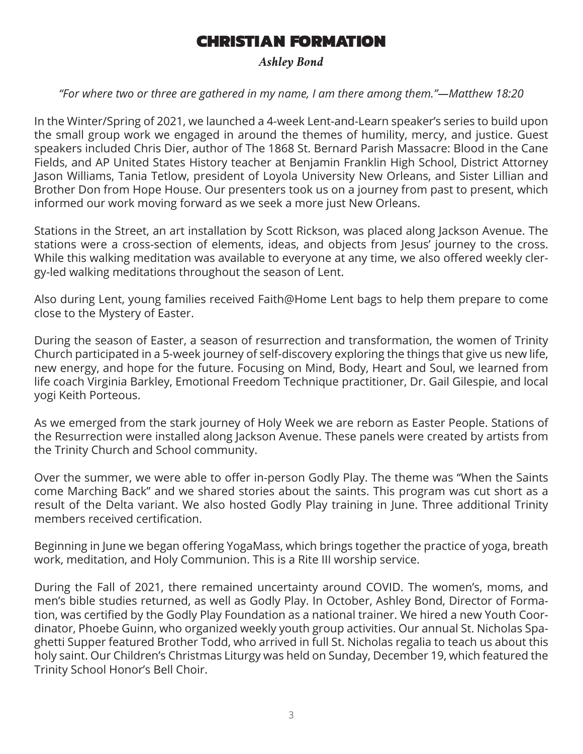# CHRISTIAN FORMATION

#### *Ashley Bond*

#### *"For where two or three are gathered in my name, I am there among them."—Matthew 18:20*

In the Winter/Spring of 2021, we launched a 4-week Lent-and-Learn speaker's series to build upon the small group work we engaged in around the themes of humility, mercy, and justice. Guest speakers included Chris Dier, author of The 1868 St. Bernard Parish Massacre: Blood in the Cane Fields, and AP United States History teacher at Benjamin Franklin High School, District Attorney Jason Williams, Tania Tetlow, president of Loyola University New Orleans, and Sister Lillian and Brother Don from Hope House. Our presenters took us on a journey from past to present, which informed our work moving forward as we seek a more just New Orleans.

Stations in the Street, an art installation by Scott Rickson, was placed along Jackson Avenue. The stations were a cross-section of elements, ideas, and objects from Jesus' journey to the cross. While this walking meditation was available to everyone at any time, we also offered weekly clergy-led walking meditations throughout the season of Lent.

Also during Lent, young families received Faith@Home Lent bags to help them prepare to come close to the Mystery of Easter.

During the season of Easter, a season of resurrection and transformation, the women of Trinity Church participated in a 5-week journey of self-discovery exploring the things that give us new life, new energy, and hope for the future. Focusing on Mind, Body, Heart and Soul, we learned from life coach Virginia Barkley, Emotional Freedom Technique practitioner, Dr. Gail Gilespie, and local yogi Keith Porteous.

As we emerged from the stark journey of Holy Week we are reborn as Easter People. Stations of the Resurrection were installed along Jackson Avenue. These panels were created by artists from the Trinity Church and School community.

Over the summer, we were able to offer in-person Godly Play. The theme was "When the Saints come Marching Back" and we shared stories about the saints. This program was cut short as a result of the Delta variant. We also hosted Godly Play training in June. Three additional Trinity members received certification.

Beginning in June we began offering YogaMass, which brings together the practice of yoga, breath work, meditation, and Holy Communion. This is a Rite III worship service.

During the Fall of 2021, there remained uncertainty around COVID. The women's, moms, and men's bible studies returned, as well as Godly Play. In October, Ashley Bond, Director of Formation, was certified by the Godly Play Foundation as a national trainer. We hired a new Youth Coordinator, Phoebe Guinn, who organized weekly youth group activities. Our annual St. Nicholas Spaghetti Supper featured Brother Todd, who arrived in full St. Nicholas regalia to teach us about this holy saint. Our Children's Christmas Liturgy was held on Sunday, December 19, which featured the Trinity School Honor's Bell Choir.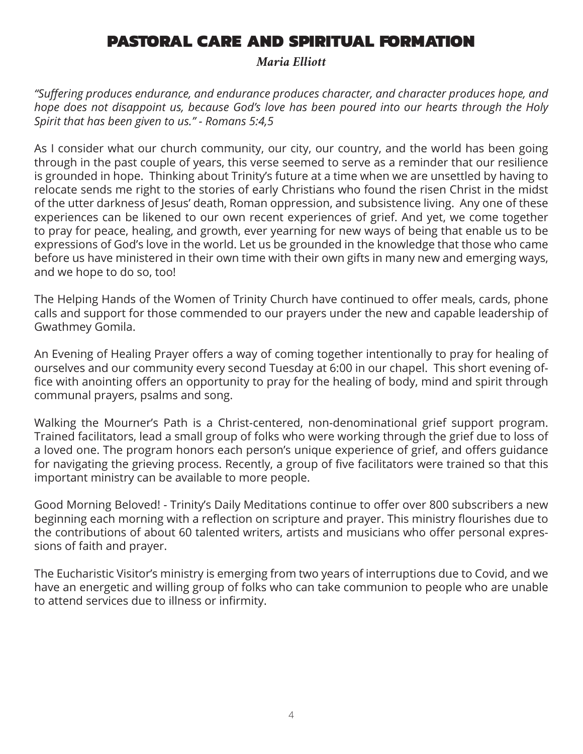# PASTORAL CARE AND SPIRITUAL FORMATION

*Maria Elliott*

*"Suffering produces endurance, and endurance produces character, and character produces hope, and hope does not disappoint us, because God's love has been poured into our hearts through the Holy Spirit that has been given to us." - Romans 5:4,5*

As I consider what our church community, our city, our country, and the world has been going through in the past couple of years, this verse seemed to serve as a reminder that our resilience is grounded in hope. Thinking about Trinity's future at a time when we are unsettled by having to relocate sends me right to the stories of early Christians who found the risen Christ in the midst of the utter darkness of Jesus' death, Roman oppression, and subsistence living. Any one of these experiences can be likened to our own recent experiences of grief. And yet, we come together to pray for peace, healing, and growth, ever yearning for new ways of being that enable us to be expressions of God's love in the world. Let us be grounded in the knowledge that those who came before us have ministered in their own time with their own gifts in many new and emerging ways, and we hope to do so, too!

The Helping Hands of the Women of Trinity Church have continued to offer meals, cards, phone calls and support for those commended to our prayers under the new and capable leadership of Gwathmey Gomila.

An Evening of Healing Prayer offers a way of coming together intentionally to pray for healing of ourselves and our community every second Tuesday at 6:00 in our chapel. This short evening office with anointing offers an opportunity to pray for the healing of body, mind and spirit through communal prayers, psalms and song.

Walking the Mourner's Path is a Christ-centered, non-denominational grief support program. Trained facilitators, lead a small group of folks who were working through the grief due to loss of a loved one. The program honors each person's unique experience of grief, and offers guidance for navigating the grieving process. Recently, a group of five facilitators were trained so that this important ministry can be available to more people.

Good Morning Beloved! - Trinity's Daily Meditations continue to offer over 800 subscribers a new beginning each morning with a reflection on scripture and prayer. This ministry flourishes due to the contributions of about 60 talented writers, artists and musicians who offer personal expressions of faith and prayer.

The Eucharistic Visitor's ministry is emerging from two years of interruptions due to Covid, and we have an energetic and willing group of folks who can take communion to people who are unable to attend services due to illness or infirmity.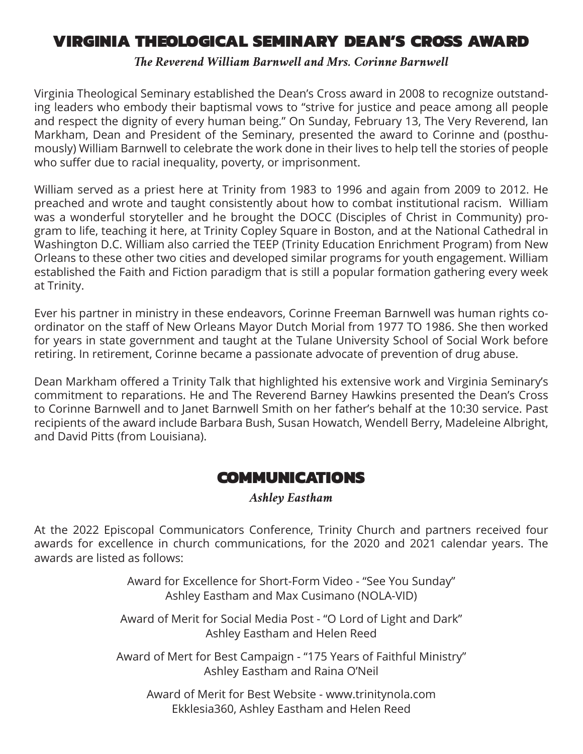# VIRGINIA THEOLOGICAL SEMINARY DEAN'S CROSS AWARD

#### *The Reverend William Barnwell and Mrs. Corinne Barnwell*

Virginia Theological Seminary established the Dean's Cross award in 2008 to recognize outstanding leaders who embody their baptismal vows to "strive for justice and peace among all people and respect the dignity of every human being." On Sunday, February 13, The Very Reverend, Ian Markham, Dean and President of the Seminary, presented the award to Corinne and (posthumously) William Barnwell to celebrate the work done in their lives to help tell the stories of people who suffer due to racial inequality, poverty, or imprisonment.

William served as a priest here at Trinity from 1983 to 1996 and again from 2009 to 2012. He preached and wrote and taught consistently about how to combat institutional racism. William was a wonderful storyteller and he brought the DOCC (Disciples of Christ in Community) program to life, teaching it here, at Trinity Copley Square in Boston, and at the National Cathedral in Washington D.C. William also carried the TEEP (Trinity Education Enrichment Program) from New Orleans to these other two cities and developed similar programs for youth engagement. William established the Faith and Fiction paradigm that is still a popular formation gathering every week at Trinity.

Ever his partner in ministry in these endeavors, Corinne Freeman Barnwell was human rights coordinator on the staff of New Orleans Mayor Dutch Morial from 1977 TO 1986. She then worked for years in state government and taught at the Tulane University School of Social Work before retiring. In retirement, Corinne became a passionate advocate of prevention of drug abuse.

Dean Markham offered a Trinity Talk that highlighted his extensive work and Virginia Seminary's commitment to reparations. He and The Reverend Barney Hawkins presented the Dean's Cross to Corinne Barnwell and to Janet Barnwell Smith on her father's behalf at the 10:30 service. Past recipients of the award include Barbara Bush, Susan Howatch, Wendell Berry, Madeleine Albright, and David Pitts (from Louisiana).

#### COMMUNICATIONS

#### *Ashley Eastham*

At the 2022 Episcopal Communicators Conference, Trinity Church and partners received four awards for excellence in church communications, for the 2020 and 2021 calendar years. The awards are listed as follows:

> Award for Excellence for Short-Form Video - "See You Sunday" Ashley Eastham and Max Cusimano (NOLA-VID)

Award of Merit for Social Media Post - "O Lord of Light and Dark" Ashley Eastham and Helen Reed

Award of Mert for Best Campaign - "175 Years of Faithful Ministry" Ashley Eastham and Raina O'Neil

Award of Merit for Best Website - www.trinitynola.com Ekklesia360, Ashley Eastham and Helen Reed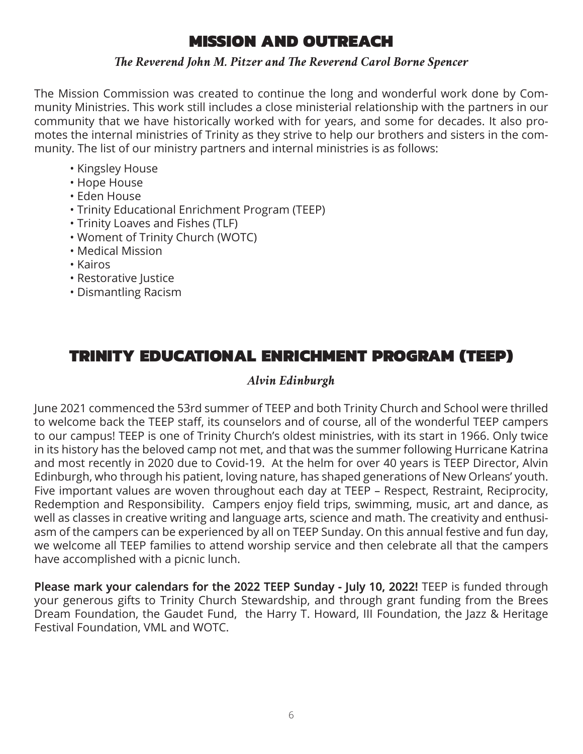# MISSION AND OUTREACH

#### *The Reverend John M. Pitzer and The Reverend Carol Borne Spencer*

The Mission Commission was created to continue the long and wonderful work done by Community Ministries. This work still includes a close ministerial relationship with the partners in our community that we have historically worked with for years, and some for decades. It also promotes the internal ministries of Trinity as they strive to help our brothers and sisters in the community. The list of our ministry partners and internal ministries is as follows:

- Kingsley House
- Hope House
- Eden House
- Trinity Educational Enrichment Program (TEEP)
- Trinity Loaves and Fishes (TLF)
- Woment of Trinity Church (WOTC)
- Medical Mission
- Kairos
- Restorative Justice
- Dismantling Racism

# TRINITY EDUCATIONAL ENRICHMENT PROGRAM (TEEP)

#### *Alvin Edinburgh*

June 2021 commenced the 53rd summer of TEEP and both Trinity Church and School were thrilled to welcome back the TEEP staff, its counselors and of course, all of the wonderful TEEP campers to our campus! TEEP is one of Trinity Church's oldest ministries, with its start in 1966. Only twice in its history has the beloved camp not met, and that was the summer following Hurricane Katrina and most recently in 2020 due to Covid-19. At the helm for over 40 years is TEEP Director, Alvin Edinburgh, who through his patient, loving nature, has shaped generations of New Orleans' youth. Five important values are woven throughout each day at TEEP – Respect, Restraint, Reciprocity, Redemption and Responsibility. Campers enjoy field trips, swimming, music, art and dance, as well as classes in creative writing and language arts, science and math. The creativity and enthusiasm of the campers can be experienced by all on TEEP Sunday. On this annual festive and fun day, we welcome all TEEP families to attend worship service and then celebrate all that the campers have accomplished with a picnic lunch.

**Please mark your calendars for the 2022 TEEP Sunday - July 10, 2022!** TEEP is funded through your generous gifts to Trinity Church Stewardship, and through grant funding from the Brees Dream Foundation, the Gaudet Fund, the Harry T. Howard, III Foundation, the Jazz & Heritage Festival Foundation, VML and WOTC.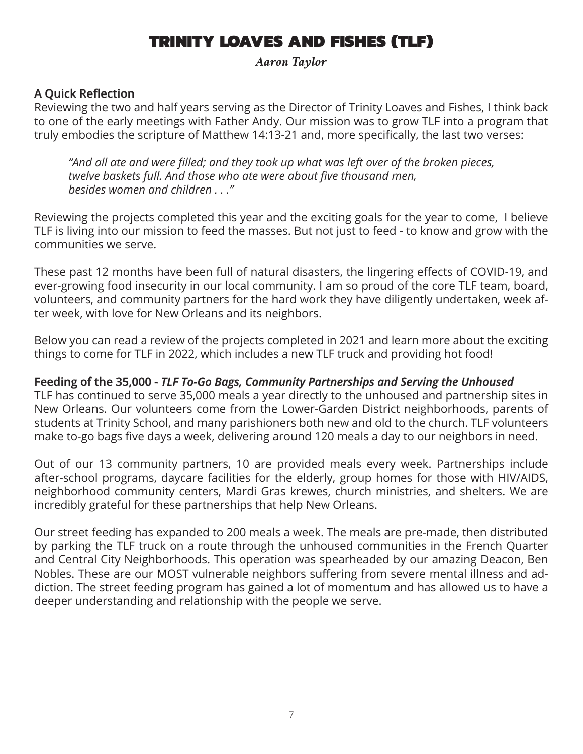# TRINITY LOAVES AND FISHES (TLF)

*Aaron Taylor*

#### **A Quick Reflection**

Reviewing the two and half years serving as the Director of Trinity Loaves and Fishes, I think back to one of the early meetings with Father Andy. Our mission was to grow TLF into a program that truly embodies the scripture of Matthew 14:13-21 and, more specifically, the last two verses:

*"And all ate and were filled; and they took up what was left over of the broken pieces, twelve baskets full. And those who ate were about five thousand men, besides women and children . . ."* 

Reviewing the projects completed this year and the exciting goals for the year to come, I believe TLF is living into our mission to feed the masses. But not just to feed - to know and grow with the communities we serve.

These past 12 months have been full of natural disasters, the lingering effects of COVID-19, and ever-growing food insecurity in our local community. I am so proud of the core TLF team, board, volunteers, and community partners for the hard work they have diligently undertaken, week after week, with love for New Orleans and its neighbors.

Below you can read a review of the projects completed in 2021 and learn more about the exciting things to come for TLF in 2022, which includes a new TLF truck and providing hot food!

#### **Feeding of the 35,000 -** *TLF To-Go Bags, Community Partnerships and Serving the Unhoused*

TLF has continued to serve 35,000 meals a year directly to the unhoused and partnership sites in New Orleans. Our volunteers come from the Lower-Garden District neighborhoods, parents of students at Trinity School, and many parishioners both new and old to the church. TLF volunteers make to-go bags five days a week, delivering around 120 meals a day to our neighbors in need.

Out of our 13 community partners, 10 are provided meals every week. Partnerships include after-school programs, daycare facilities for the elderly, group homes for those with HIV/AIDS, neighborhood community centers, Mardi Gras krewes, church ministries, and shelters. We are incredibly grateful for these partnerships that help New Orleans.

Our street feeding has expanded to 200 meals a week. The meals are pre-made, then distributed by parking the TLF truck on a route through the unhoused communities in the French Quarter and Central City Neighborhoods. This operation was spearheaded by our amazing Deacon, Ben Nobles. These are our MOST vulnerable neighbors suffering from severe mental illness and addiction. The street feeding program has gained a lot of momentum and has allowed us to have a deeper understanding and relationship with the people we serve.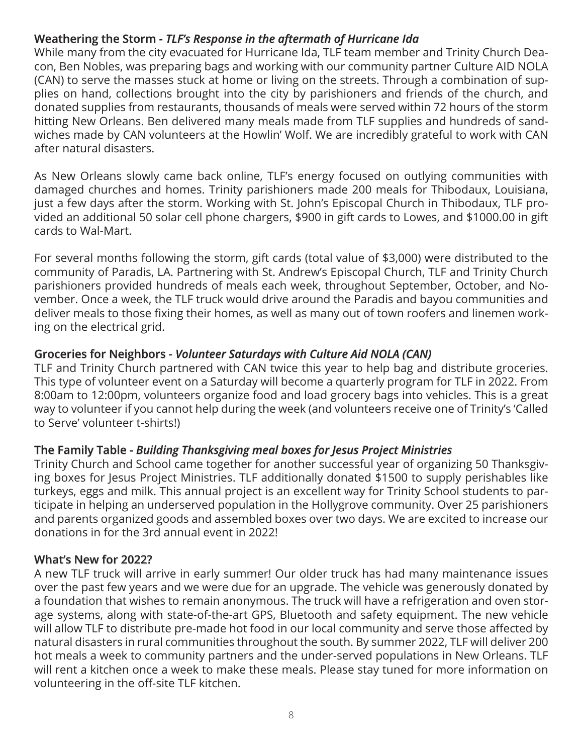#### **Weathering the Storm -** *TLF's Response in the aftermath of Hurricane Ida*

While many from the city evacuated for Hurricane Ida, TLF team member and Trinity Church Deacon, Ben Nobles, was preparing bags and working with our community partner Culture AID NOLA (CAN) to serve the masses stuck at home or living on the streets. Through a combination of supplies on hand, collections brought into the city by parishioners and friends of the church, and donated supplies from restaurants, thousands of meals were served within 72 hours of the storm hitting New Orleans. Ben delivered many meals made from TLF supplies and hundreds of sandwiches made by CAN volunteers at the Howlin' Wolf. We are incredibly grateful to work with CAN after natural disasters.

As New Orleans slowly came back online, TLF's energy focused on outlying communities with damaged churches and homes. Trinity parishioners made 200 meals for Thibodaux, Louisiana, just a few days after the storm. Working with St. John's Episcopal Church in Thibodaux, TLF provided an additional 50 solar cell phone chargers, \$900 in gift cards to Lowes, and \$1000.00 in gift cards to Wal-Mart.

For several months following the storm, gift cards (total value of \$3,000) were distributed to the community of Paradis, LA. Partnering with St. Andrew's Episcopal Church, TLF and Trinity Church parishioners provided hundreds of meals each week, throughout September, October, and November. Once a week, the TLF truck would drive around the Paradis and bayou communities and deliver meals to those fixing their homes, as well as many out of town roofers and linemen working on the electrical grid.

#### **Groceries for Neighbors -** *Volunteer Saturdays with Culture Aid NOLA (CAN)*

TLF and Trinity Church partnered with CAN twice this year to help bag and distribute groceries. This type of volunteer event on a Saturday will become a quarterly program for TLF in 2022. From 8:00am to 12:00pm, volunteers organize food and load grocery bags into vehicles. This is a great way to volunteer if you cannot help during the week (and volunteers receive one of Trinity's 'Called to Serve' volunteer t-shirts!)

#### **The Family Table -** *Building Thanksgiving meal boxes for Jesus Project Ministries*

Trinity Church and School came together for another successful year of organizing 50 Thanksgiving boxes for Jesus Project Ministries. TLF additionally donated \$1500 to supply perishables like turkeys, eggs and milk. This annual project is an excellent way for Trinity School students to participate in helping an underserved population in the Hollygrove community. Over 25 parishioners and parents organized goods and assembled boxes over two days. We are excited to increase our donations in for the 3rd annual event in 2022!

#### **What's New for 2022?**

A new TLF truck will arrive in early summer! Our older truck has had many maintenance issues over the past few years and we were due for an upgrade. The vehicle was generously donated by a foundation that wishes to remain anonymous. The truck will have a refrigeration and oven storage systems, along with state-of-the-art GPS, Bluetooth and safety equipment. The new vehicle will allow TLF to distribute pre-made hot food in our local community and serve those affected by natural disasters in rural communities throughout the south. By summer 2022, TLF will deliver 200 hot meals a week to community partners and the under-served populations in New Orleans. TLF will rent a kitchen once a week to make these meals. Please stay tuned for more information on volunteering in the off-site TLF kitchen.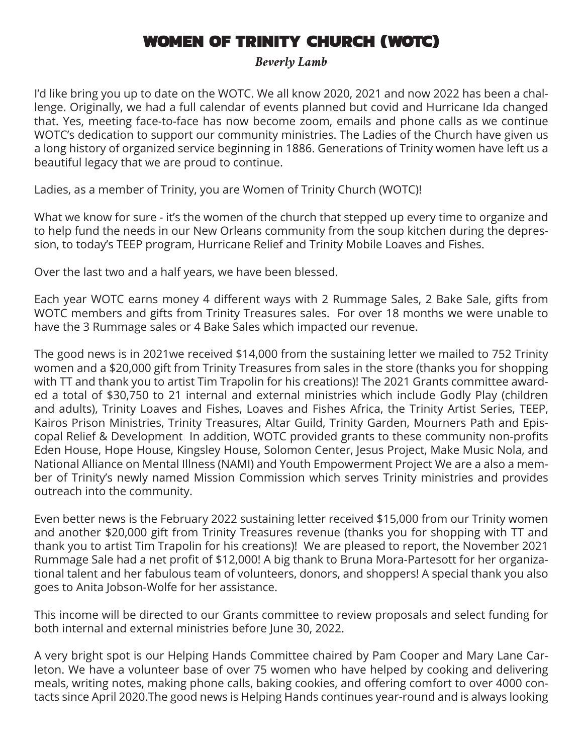# WOMEN OF TRINITY CHURCH (WOTC)

*Beverly Lamb*

I'd like bring you up to date on the WOTC. We all know 2020, 2021 and now 2022 has been a challenge. Originally, we had a full calendar of events planned but covid and Hurricane Ida changed that. Yes, meeting face-to-face has now become zoom, emails and phone calls as we continue WOTC's dedication to support our community ministries. The Ladies of the Church have given us a long history of organized service beginning in 1886. Generations of Trinity women have left us a beautiful legacy that we are proud to continue.

Ladies, as a member of Trinity, you are Women of Trinity Church (WOTC)!

What we know for sure - it's the women of the church that stepped up every time to organize and to help fund the needs in our New Orleans community from the soup kitchen during the depression, to today's TEEP program, Hurricane Relief and Trinity Mobile Loaves and Fishes.

Over the last two and a half years, we have been blessed.

Each year WOTC earns money 4 different ways with 2 Rummage Sales, 2 Bake Sale, gifts from WOTC members and gifts from Trinity Treasures sales. For over 18 months we were unable to have the 3 Rummage sales or 4 Bake Sales which impacted our revenue.

The good news is in 2021we received \$14,000 from the sustaining letter we mailed to 752 Trinity women and a \$20,000 gift from Trinity Treasures from sales in the store (thanks you for shopping with TT and thank you to artist Tim Trapolin for his creations)! The 2021 Grants committee awarded a total of \$30,750 to 21 internal and external ministries which include Godly Play (children and adults), Trinity Loaves and Fishes, Loaves and Fishes Africa, the Trinity Artist Series, TEEP, Kairos Prison Ministries, Trinity Treasures, Altar Guild, Trinity Garden, Mourners Path and Episcopal Relief & Development In addition, WOTC provided grants to these community non-profits Eden House, Hope House, Kingsley House, Solomon Center, Jesus Project, Make Music Nola, and National Alliance on Mental Illness (NAMI) and Youth Empowerment Project We are a also a member of Trinity's newly named Mission Commission which serves Trinity ministries and provides outreach into the community.

Even better news is the February 2022 sustaining letter received \$15,000 from our Trinity women and another \$20,000 gift from Trinity Treasures revenue (thanks you for shopping with TT and thank you to artist Tim Trapolin for his creations)! We are pleased to report, the November 2021 Rummage Sale had a net profit of \$12,000! A big thank to Bruna Mora-Partesott for her organizational talent and her fabulous team of volunteers, donors, and shoppers! A special thank you also goes to Anita Jobson-Wolfe for her assistance.

This income will be directed to our Grants committee to review proposals and select funding for both internal and external ministries before June 30, 2022.

A very bright spot is our Helping Hands Committee chaired by Pam Cooper and Mary Lane Carleton. We have a volunteer base of over 75 women who have helped by cooking and delivering meals, writing notes, making phone calls, baking cookies, and offering comfort to over 4000 contacts since April 2020.The good news is Helping Hands continues year-round and is always looking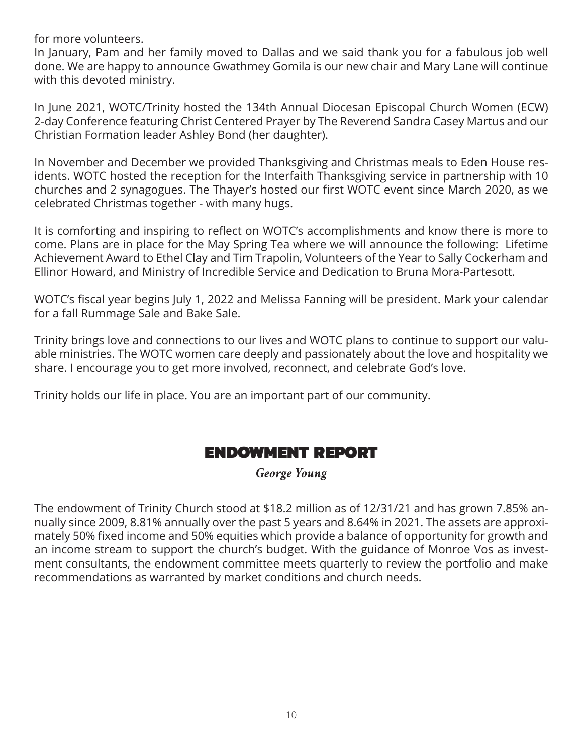for more volunteers.

In January, Pam and her family moved to Dallas and we said thank you for a fabulous job well done. We are happy to announce Gwathmey Gomila is our new chair and Mary Lane will continue with this devoted ministry.

In June 2021, WOTC/Trinity hosted the 134th Annual Diocesan Episcopal Church Women (ECW) 2-day Conference featuring Christ Centered Prayer by The Reverend Sandra Casey Martus and our Christian Formation leader Ashley Bond (her daughter).

In November and December we provided Thanksgiving and Christmas meals to Eden House residents. WOTC hosted the reception for the Interfaith Thanksgiving service in partnership with 10 churches and 2 synagogues. The Thayer's hosted our first WOTC event since March 2020, as we celebrated Christmas together - with many hugs.

It is comforting and inspiring to reflect on WOTC's accomplishments and know there is more to come. Plans are in place for the May Spring Tea where we will announce the following: Lifetime Achievement Award to Ethel Clay and Tim Trapolin, Volunteers of the Year to Sally Cockerham and Ellinor Howard, and Ministry of Incredible Service and Dedication to Bruna Mora-Partesott.

WOTC's fiscal year begins July 1, 2022 and Melissa Fanning will be president. Mark your calendar for a fall Rummage Sale and Bake Sale.

Trinity brings love and connections to our lives and WOTC plans to continue to support our valuable ministries. The WOTC women care deeply and passionately about the love and hospitality we share. I encourage you to get more involved, reconnect, and celebrate God's love.

Trinity holds our life in place. You are an important part of our community.

## ENDOWMENT REPORT

*George Young*

The endowment of Trinity Church stood at \$18.2 million as of 12/31/21 and has grown 7.85% annually since 2009, 8.81% annually over the past 5 years and 8.64% in 2021. The assets are approximately 50% fixed income and 50% equities which provide a balance of opportunity for growth and an income stream to support the church's budget. With the guidance of Monroe Vos as investment consultants, the endowment committee meets quarterly to review the portfolio and make recommendations as warranted by market conditions and church needs.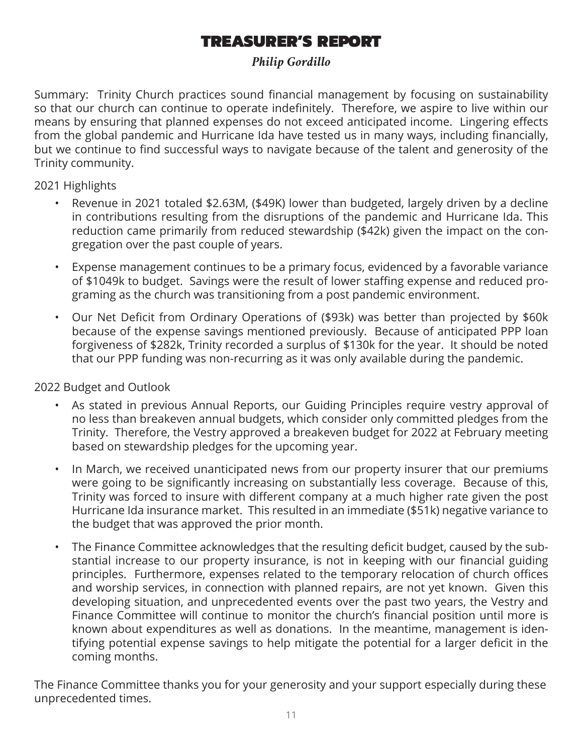# TREASURER'S REPORT

#### *Philip Gordillo*

Summary: Trinity Church practices sound financial management by focusing on sustainability so that our church can continue to operate indefinitely. Therefore, we aspire to live within our means by ensuring that planned expenses do not exceed anticipated income. Lingering effects from the global pandemic and Hurricane Ida have tested us in many ways, including financially, but we continue to find successful ways to navigate because of the talent and generosity of the Trinity community.

2021 Highlights

- Revenue in 2021 totaled \$2.63M, (\$49K) lower than budgeted, largely driven by a decline in contributions resulting from the disruptions of the pandemic and Hurricane Ida. This reduction came primarily from reduced stewardship (\$42k) given the impact on the congregation over the past couple of years.
- Expense management continues to be a primary focus, evidenced by a favorable variance of \$1049k to budget. Savings were the result of lower staffing expense and reduced programing as the church was transitioning from a post pandemic environment.
- Our Net Deficit from Ordinary Operations of (\$93k) was better than projected by \$60k because of the expense savings mentioned previously. Because of anticipated PPP loan forgiveness of \$282k, Trinity recorded a surplus of \$130k for the year. It should be noted that our PPP funding was non-recurring as it was only available during the pandemic.

2022 Budget and Outlook

- As stated in previous Annual Reports, our Guiding Principles require vestry approval of no less than breakeven annual budgets, which consider only committed pledges from the Trinity. Therefore, the Vestry approved a breakeven budget for 2022 at February meeting based on stewardship pledges for the upcoming year.
- In March, we received unanticipated news from our property insurer that our premiums were going to be significantly increasing on substantially less coverage. Because of this, Trinity was forced to insure with different company at a much higher rate given the post Hurricane Ida insurance market. This resulted in an immediate (\$51k) negative variance to the budget that was approved the prior month.
- The Finance Committee acknowledges that the resulting deficit budget, caused by the substantial increase to our property insurance, is not in keeping with our financial guiding principles. Furthermore, expenses related to the temporary relocation of church offices and worship services, in connection with planned repairs, are not yet known. Given this developing situation, and unprecedented events over the past two years, the Vestry and Finance Committee will continue to monitor the church's financial position until more is known about expenditures as well as donations. In the meantime, management is identifying potential expense savings to help mitigate the potential for a larger deficit in the coming months.

The Finance Committee thanks you for your generosity and your support especially during these unprecedented times.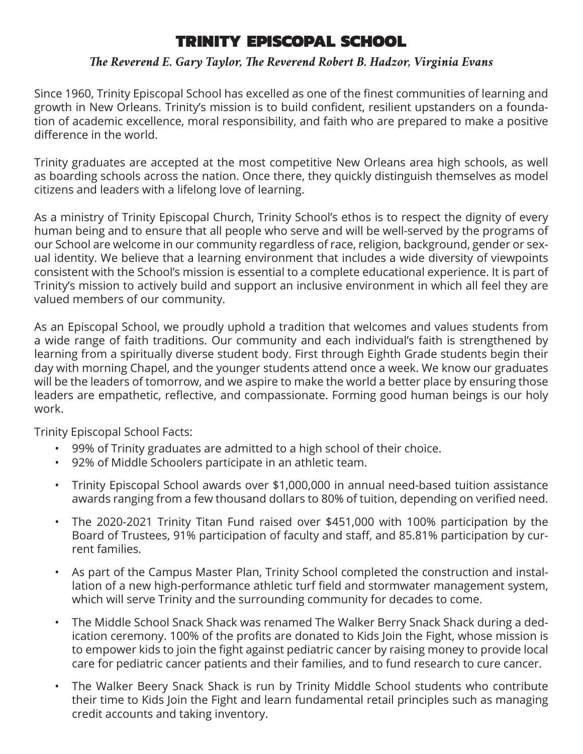# TRINITY EPISCOPAL SCHOOL

#### *The Reverend E. Gary Taylor, The Reverend Robert B. Hadzor, Virginia Evans*

Since 1960, Trinity Episcopal School has excelled as one of the finest communities of learning and growth in New Orleans. Trinity's mission is to build confident, resilient upstanders on a foundation of academic excellence, moral responsibility, and faith who are prepared to make a positive difference in the world.

Trinity graduates are accepted at the most competitive New Orleans area high schools, as well as boarding schools across the nation. Once there, they quickly distinguish themselves as model citizens and leaders with a lifelong love of learning.

As a ministry of Trinity Episcopal Church, Trinity School's ethos is to respect the dignity of every human being and to ensure that all people who serve and will be well-served by the programs of our School are welcome in our community regardless of race, religion, background, gender or sexual identity. We believe that a learning environment that includes a wide diversity of viewpoints consistent with the School's mission is essential to a complete educational experience. It is part of Trinity's mission to actively build and support an inclusive environment in which all feel they are valued members of our community.

As an Episcopal School, we proudly uphold a tradition that welcomes and values students from a wide range of faith traditions. Our community and each individual's faith is strengthened by learning from a spiritually diverse student body. First through Eighth Grade students begin their day with morning Chapel, and the younger students attend once a week. We know our graduates will be the leaders of tomorrow, and we aspire to make the world a better place by ensuring those leaders are empathetic, reflective, and compassionate. Forming good human beings is our holy work.

Trinity Episcopal School Facts:

- 99% of Trinity graduates are admitted to a high school of their choice.
- 92% of Middle Schoolers participate in an athletic team.
- Trinity Episcopal School awards over \$1,000,000 in annual need-based tuition assistance awards ranging from a few thousand dollars to 80% of tuition, depending on verified need.
- The 2020-2021 Trinity Titan Fund raised over \$451,000 with 100% participation by the Board of Trustees, 91% participation of faculty and staff, and 85.81% participation by current families.
- As part of the Campus Master Plan, Trinity School completed the construction and installation of a new high-performance athletic turf field and stormwater management system, which will serve Trinity and the surrounding community for decades to come.
- The Middle School Snack Shack was renamed The Walker Berry Snack Shack during a dedication ceremony. 100% of the profits are donated to Kids Join the Fight, whose mission is to empower kids to join the fight against pediatric cancer by raising money to provide local care for pediatric cancer patients and their families, and to fund research to cure cancer.
- The Walker Beery Snack Shack is run by Trinity Middle School students who contribute their time to Kids Join the Fight and learn fundamental retail principles such as managing credit accounts and taking inventory.